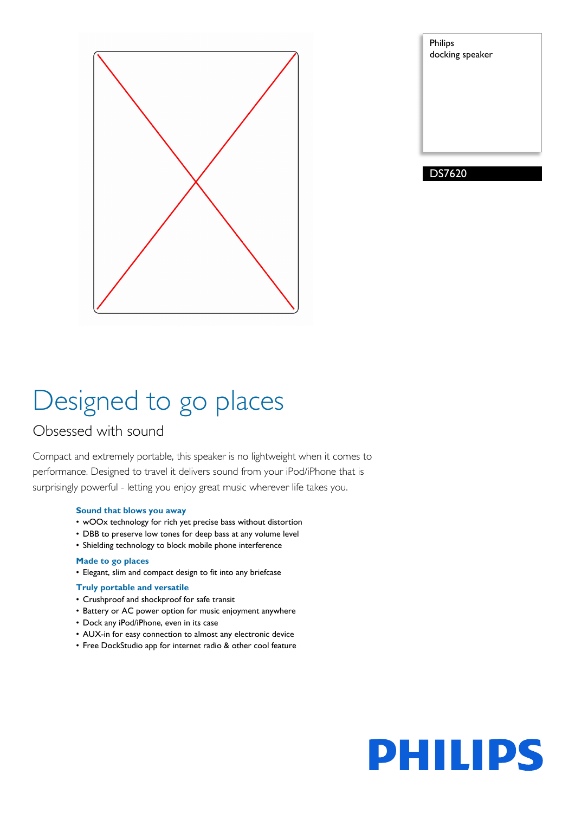

| Philips<br>docking speaker |  |
|----------------------------|--|
|                            |  |
|                            |  |
|                            |  |
|                            |  |

# Designed to go places

### Obsessed with sound

Compact and extremely portable, this speaker is no lightweight when it comes to performance. Designed to travel it delivers sound from your iPod/iPhone that is surprisingly powerful - letting you enjoy great music wherever life takes you.

#### **Sound that blows you away**

- wOOx technology for rich yet precise bass without distortion
- DBB to preserve low tones for deep bass at any volume level
- Shielding technology to block mobile phone interference

#### **Made to go places**

• Elegant, slim and compact design to fit into any briefcase

#### **Truly portable and versatile**

- Crushproof and shockproof for safe transit
- Battery or AC power option for music enjoyment anywhere
- Dock any iPod/iPhone, even in its case
- AUX-in for easy connection to almost any electronic device
- Free DockStudio app for internet radio & other cool feature